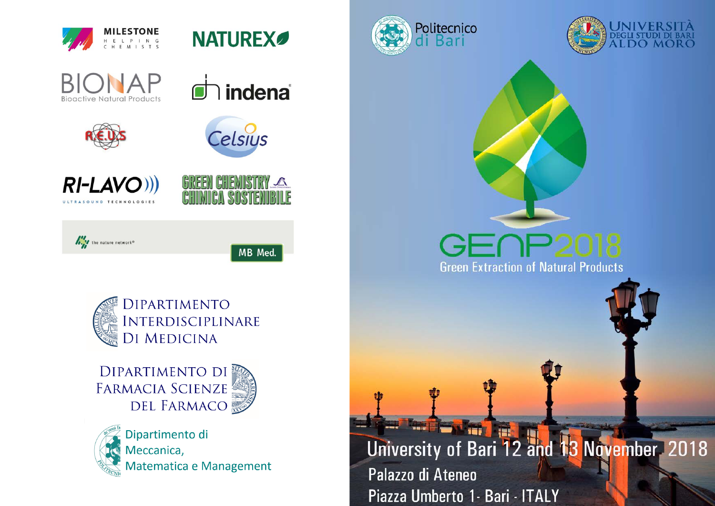







GREEN GHEMISTRY

 $\Lambda$ 







**DIPARTIMENTO DI** FARMACIA SCIENZE **DEL FARMACO** 



Dipartimento di Meccanica, Matematica e Management